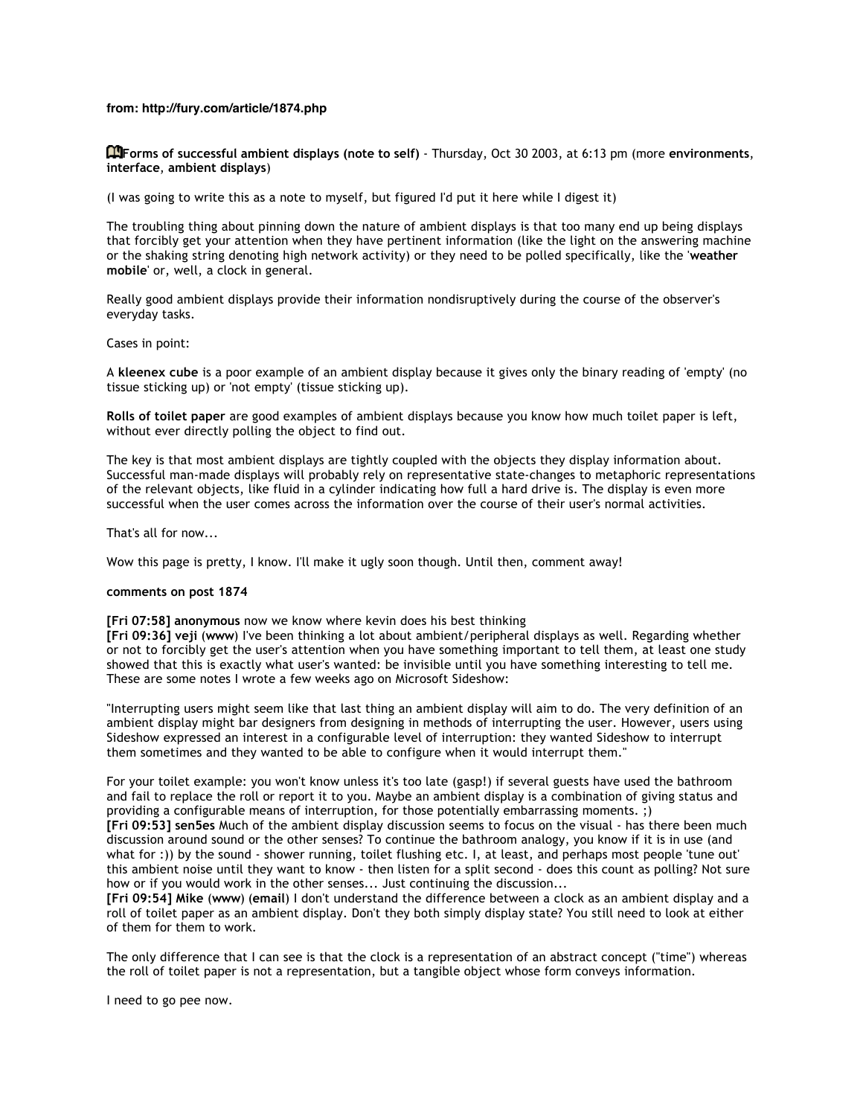## **from: http://fury.com/article/1874.php**

**Forms of successful ambient displays (note to self)** - Thursday, Oct 30 2003, at 6:13 pm (more **environments**, **interface**, **ambient displays**)

(I was going to write this as a note to myself, but figured I'd put it here while I digest it)

The troubling thing about pinning down the nature of ambient displays is that too many end up being displays that forcibly get your attention when they have pertinent information (like the light on the answering machine or the shaking string denoting high network activity) or they need to be polled specifically, like the '**weather mobile**' or, well, a clock in general.

Really good ambient displays provide their information nondisruptively during the course of the observer's everyday tasks.

## Cases in point:

A **kleenex cube** is a poor example of an ambient display because it gives only the binary reading of 'empty' (no tissue sticking up) or 'not empty' (tissue sticking up).

**Rolls of toilet paper** are good examples of ambient displays because you know how much toilet paper is left, without ever directly polling the object to find out.

The key is that most ambient displays are tightly coupled with the objects they display information about. Successful man-made displays will probably rely on representative state-changes to metaphoric representations of the relevant objects, like fluid in a cylinder indicating how full a hard drive is. The display is even more successful when the user comes across the information over the course of their user's normal activities.

That's all for now...

Wow this page is pretty, I know. I'll make it ugly soon though. Until then, comment away!

## **comments on post 1874**

**[Fri 07:58] anonymous** now we know where kevin does his best thinking

**[Fri 09:36] veji** (**www**) I've been thinking a lot about ambient/peripheral displays as well. Regarding whether or not to forcibly get the user's attention when you have something important to tell them, at least one study showed that this is exactly what user's wanted: be invisible until you have something interesting to tell me. These are some notes I wrote a few weeks ago on Microsoft Sideshow:

"Interrupting users might seem like that last thing an ambient display will aim to do. The very definition of an ambient display might bar designers from designing in methods of interrupting the user. However, users using Sideshow expressed an interest in a configurable level of interruption: they wanted Sideshow to interrupt them sometimes and they wanted to be able to configure when it would interrupt them."

For your toilet example: you won't know unless it's too late (gasp!) if several guests have used the bathroom and fail to replace the roll or report it to you. Maybe an ambient display is a combination of giving status and providing a configurable means of interruption, for those potentially embarrassing moments. ;) **[Fri 09:53] sen5es** Much of the ambient display discussion seems to focus on the visual - has there been much

discussion around sound or the other senses? To continue the bathroom analogy, you know if it is in use (and what for :)) by the sound - shower running, toilet flushing etc. I, at least, and perhaps most people 'tune out' this ambient noise until they want to know - then listen for a split second - does this count as polling? Not sure how or if you would work in the other senses... Just continuing the discussion...

**[Fri 09:54] Mike** (**www**) (**email**) I don't understand the difference between a clock as an ambient display and a roll of toilet paper as an ambient display. Don't they both simply display state? You still need to look at either of them for them to work.

The only difference that I can see is that the clock is a representation of an abstract concept ("time") whereas the roll of toilet paper is not a representation, but a tangible object whose form conveys information.

I need to go pee now.